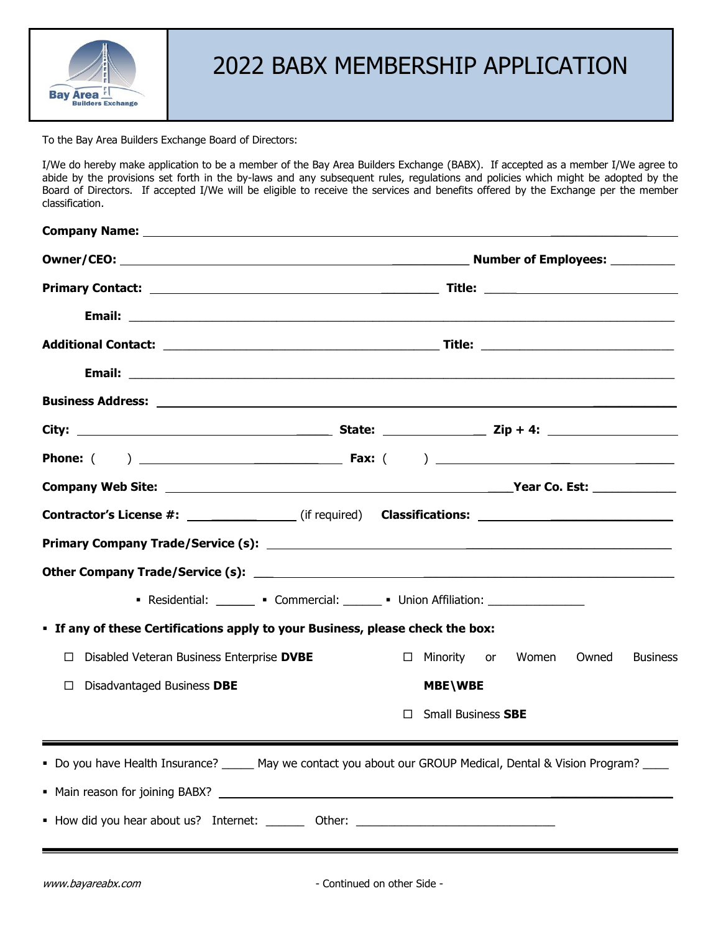

## 2022 BABX MEMBERSHIP APPLICATION

To the Bay Area Builders Exchange Board of Directors:

I/We do hereby make application to be a member of the Bay Area Builders Exchange (BABX). If accepted as a member I/We agree to abide by the provisions set forth in the by-laws and any subsequent rules, regulations and policies which might be adopted by the Board of Directors. If accepted I/We will be eligible to receive the services and benefits offered by the Exchange per the member classification.

| Contractor's License #: _______________(if required) Classifications: ______________________________           |  |        |                           |       |       |                 |
|----------------------------------------------------------------------------------------------------------------|--|--------|---------------------------|-------|-------|-----------------|
|                                                                                                                |  |        |                           |       |       |                 |
|                                                                                                                |  |        |                           |       |       |                 |
| • Residential: _______ • Commercial: ______ • Union Affiliation: _______________                               |  |        |                           |       |       |                 |
| • If any of these Certifications apply to your Business, please check the box:                                 |  |        |                           |       |       |                 |
| Disabled Veteran Business Enterprise DVBE                                                                      |  | $\Box$ | Minority or               | Women | Owned | <b>Business</b> |
| Disadvantaged Business DBE<br>□                                                                                |  |        | <b>MBE\WBE</b>            |       |       |                 |
|                                                                                                                |  | П      | <b>Small Business SBE</b> |       |       |                 |
| - Do you have Health Insurance? _____ May we contact you about our GROUP Medical, Dental & Vision Program? ___ |  |        |                           |       |       |                 |
|                                                                                                                |  |        |                           |       |       |                 |
| • How did you hear about us? Internet: ________ Other: _________________________                               |  |        |                           |       |       |                 |